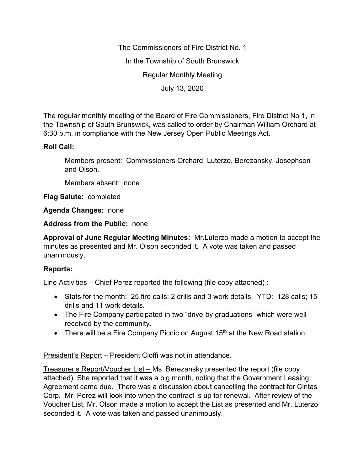The Commissioners of Fire District No. 1 In the Township of South Brunswick Regular Monthly Meeting July 13, 2020

The regular monthly meeting of the Board of Fire Commissioners, Fire District No 1, in the Township of South Brunswick, was called to order by Chairman William Orchard at 6:30 p.m, in compliance with the New Jersey Open Public Meetings Act.

## **Roll Call:**

Members present: Commissioners Orchard, Luterzo, Berezansky, Josephson and Olson.

Members absent: none

**Flag Salute:** completed

**Agenda Changes:** none

**Address from the Public:** none

**Approval of June Regular Meeting Minutes:** Mr.Luterzo made a motion to accept the minutes as presented and Mr. Olson seconded it. A vote was taken and passed unanimously.

## **Reports:**

Line Activities – Chief Perez reported the following (file copy attached) :

- Stats for the month: 25 fire calls; 2 drills and 3 work details. YTD: 128 calls; 15 drills and 11 work details.
- The Fire Company participated in two "drive-by graduations" which were well received by the community.
- There will be a Fire Company Picnic on August  $15<sup>th</sup>$  at the New Road station.

President's Report – President Cioffi was not in attendance.

Treasurer's Report/Voucher List – Ms. Berezansky presented the report (file copy attached). She reported that it was a big month, noting that the Government Leasing Agreement came due. There was a discussion about cancelling the contract for Cintas Corp. Mr. Perez will look into when the contract is up for renewal. After review of the Voucher List, Mr. Olson made a motion to accept the List as presented and Mr. Luterzo seconded it. A vote was taken and passed unanimously.